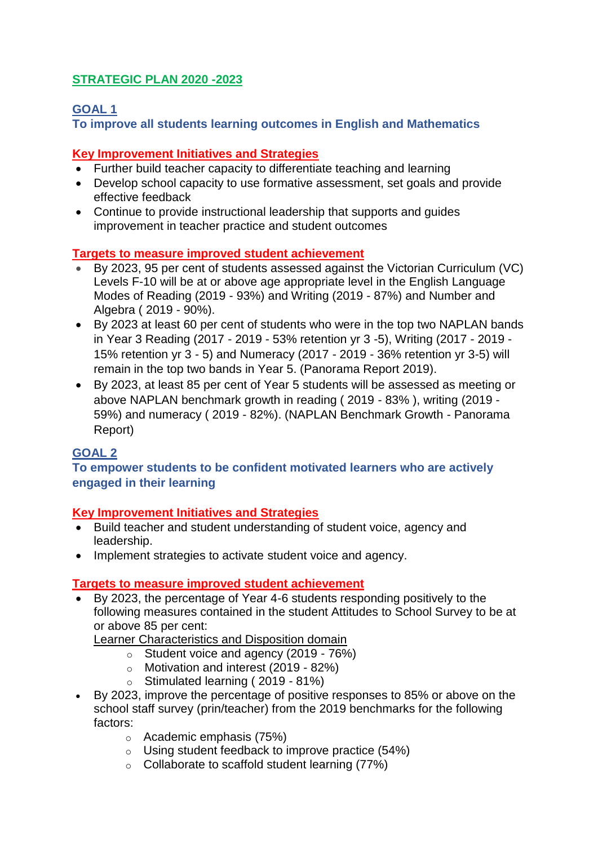## **STRATEGIC PLAN 2020 -2023**

## **GOAL 1**

**To improve all students learning outcomes in English and Mathematics**

## **Key Improvement Initiatives and Strategies**

- Further build teacher capacity to differentiate teaching and learning
- Develop school capacity to use formative assessment, set goals and provide effective feedback
- Continue to provide instructional leadership that supports and guides improvement in teacher practice and student outcomes

## **Targets to measure improved student achievement**

- By 2023, 95 per cent of students assessed against the Victorian Curriculum (VC) Levels F-10 will be at or above age appropriate level in the English Language Modes of Reading (2019 - 93%) and Writing (2019 - 87%) and Number and Algebra ( 2019 - 90%).
- By 2023 at least 60 per cent of students who were in the top two NAPLAN bands in Year 3 Reading (2017 - 2019 - 53% retention yr 3 -5), Writing (2017 - 2019 - 15% retention yr 3 - 5) and Numeracy (2017 - 2019 - 36% retention yr 3-5) will remain in the top two bands in Year 5. (Panorama Report 2019).
- By 2023, at least 85 per cent of Year 5 students will be assessed as meeting or above NAPLAN benchmark growth in reading ( 2019 - 83% ), writing (2019 - 59%) and numeracy ( 2019 - 82%). (NAPLAN Benchmark Growth - Panorama Report)

# **GOAL 2**

### **To empower students to be confident motivated learners who are actively engaged in their learning**

### **Key Improvement Initiatives and Strategies**

- Build teacher and student understanding of student voice, agency and leadership.
- Implement strategies to activate student voice and agency.

### **Targets to measure improved student achievement**

 By 2023, the percentage of Year 4-6 students responding positively to the following measures contained in the student Attitudes to School Survey to be at or above 85 per cent:

Learner Characteristics and Disposition domain

- o Student voice and agency (2019 76%)
- o Motivation and interest (2019 82%)
- $\circ$  Stimulated learning (2019 81%)
- By 2023, improve the percentage of positive responses to 85% or above on the school staff survey (prin/teacher) from the 2019 benchmarks for the following factors:
	- o Academic emphasis (75%)
	- o Using student feedback to improve practice (54%)
	- o Collaborate to scaffold student learning (77%)